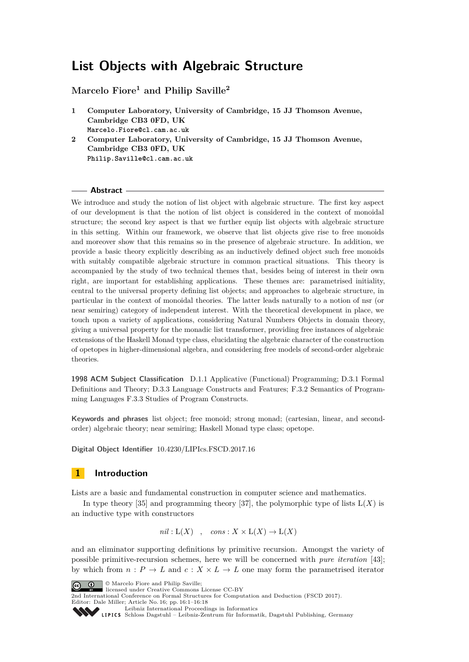# <span id="page-0-0"></span>**List Objects with Algebraic Structure**

**Marcelo Fiore<sup>1</sup> and Philip Saville<sup>2</sup>**

- **1 Computer Laboratory, University of Cambridge, 15 JJ Thomson Avenue, Cambridge CB3 0FD, UK Marcelo.Fiore@cl.cam.ac.uk**
- **2 Computer Laboratory, University of Cambridge, 15 JJ Thomson Avenue, Cambridge CB3 0FD, UK Philip.Saville@cl.cam.ac.uk**

#### **Abstract**

We introduce and study the notion of list object with algebraic structure. The first key aspect of our development is that the notion of list object is considered in the context of monoidal structure; the second key aspect is that we further equip list objects with algebraic structure in this setting. Within our framework, we observe that list objects give rise to free monoids and moreover show that this remains so in the presence of algebraic structure. In addition, we provide a basic theory explicitly describing as an inductively defined object such free monoids with suitably compatible algebraic structure in common practical situations. This theory is accompanied by the study of two technical themes that, besides being of interest in their own right, are important for establishing applications. These themes are: parametrised initiality, central to the universal property defining list objects; and approaches to algebraic structure, in particular in the context of monoidal theories. The latter leads naturally to a notion of nsr (or near semiring) category of independent interest. With the theoretical development in place, we touch upon a variety of applications, considering Natural Numbers Objects in domain theory, giving a universal property for the monadic list transformer, providing free instances of algebraic extensions of the Haskell Monad type class, elucidating the algebraic character of the construction of opetopes in higher-dimensional algebra, and considering free models of second-order algebraic theories.

**1998 ACM Subject Classification** D.1.1 Applicative (Functional) Programming; D.3.1 Formal Definitions and Theory; D.3.3 Language Constructs and Features; F.3.2 Semantics of Programming Languages F.3.3 Studies of Program Constructs.

**Keywords and phrases** list object; free monoid; strong monad; (cartesian, linear, and secondorder) algebraic theory; near semiring; Haskell Monad type class; opetope.

**Digital Object Identifier** [10.4230/LIPIcs.FSCD.2017.16](http://dx.doi.org/10.4230/LIPIcs.FSCD.2017.16)

# **1 Introduction**

Lists are a basic and fundamental construction in computer science and mathematics.

In type theory  $[35]$  and programming theory  $[37]$ , the polymorphic type of lists  $L(X)$  is an inductive type with constructors

 $nil: L(X)$  ,  $cons: X \times L(X) \rightarrow L(X)$ 

and an eliminator supporting definitions by primitive recursion. Amongst the variety of possible primitive-recursion schemes, here we will be concerned with *pure iteration* [\[43\]](#page-16-2); by which from  $n : P \to L$  and  $c : X \times L \to L$  one may form the parametrised iterator





2nd International Conference on Formal Structures for Computation and Deduction (FSCD 2017). Editor: Dale Miller; Article No. 16; pp. 16:1–16[:18](#page-17-0)

[Leibniz International Proceedings in Informatics](http://www.dagstuhl.de/lipics/)

Leibniz International riverenings in missimesise Bagstuhl Publishing, Germany<br>LIPICS [Schloss Dagstuhl – Leibniz-Zentrum für Informatik, Dagstuhl Publishing, Germany](http://www.dagstuhl.de)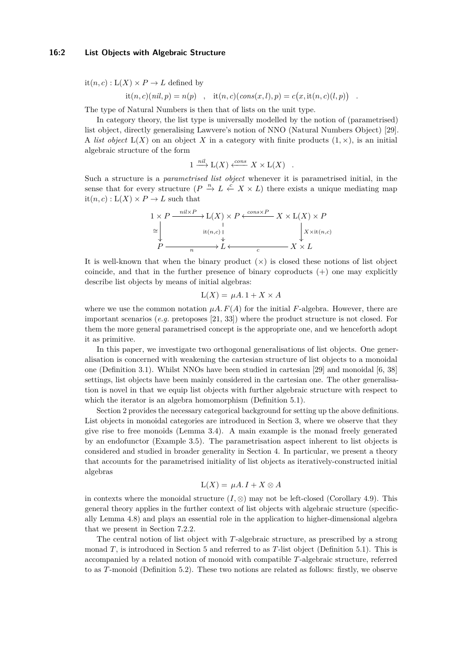#### **16:2 List Objects with Algebraic Structure**

 $it(n, c) : L(X) \times P \rightarrow L$  defined by

 $it(n, c)(nil, p) = n(p)$ ,  $it(n, c)(cons(x, l), p) = c(x, it(n, c)(l, p))$ .

The type of Natural Numbers is then that of lists on the unit type.

In category theory, the list type is universally modelled by the notion of (parametrised) list object, directly generalising Lawvere's notion of NNO (Natural Numbers Object) [\[29\]](#page-16-3). A *list object*  $L(X)$  on an object X in a category with finite products  $(1, \times)$ , is an initial algebraic structure of the form

$$
1 \xrightarrow{nil} L(X) \xleftarrow{cons} X \times L(X) .
$$

Such a structure is a *parametrised list object* whenever it is parametrised initial, in the sense that for every structure  $(P \stackrel{n}{\to} L \stackrel{c}{\leftarrow} X \times L)$  there exists a unique mediating map  $it(n, c) : L(X) \times P \rightarrow L$  such that

$$
1 \times P \xrightarrow{\text{nil} \times P} L(X) \times P \xleftarrow{\text{cons} \times P} X \times L(X) \times P
$$
  
\n
$$
\cong \downarrow \qquad \qquad \downarrow \qquad \qquad \downarrow \qquad \qquad \downarrow \qquad \qquad \downarrow \qquad \qquad \downarrow \qquad \downarrow \qquad \downarrow \qquad \downarrow
$$
  
\n
$$
P \xrightarrow{\text{ni} \qquad \downarrow} L \xleftarrow{\text{r}} L \xleftarrow{\text{r}} X \times L
$$

It is well-known that when the binary product  $(x)$  is closed these notions of list object coincide, and that in the further presence of binary coproducts  $(+)$  one may explicitly describe list objects by means of initial algebras:

$$
L(X) = \mu A \cdot 1 + X \times A
$$

where we use the common notation  $\mu A$ .  $F(A)$  for the initial F-algebra. However, there are important scenarios (*e.g.* pretoposes [\[21,](#page-16-4) [33\]](#page-16-5)) where the product structure is not closed. For them the more general parametrised concept is the appropriate one, and we henceforth adopt it as primitive.

In this paper, we investigate two orthogonal generalisations of list objects. One generalisation is concerned with weakening the cartesian structure of list objects to a monoidal one (Definition [3.1\)](#page-3-0). Whilst NNOs have been studied in cartesian [\[29\]](#page-16-3) and monoidal [\[6,](#page-15-0) [38\]](#page-16-6) settings, list objects have been mainly considered in the cartesian one. The other generalisation is novel in that we equip list objects with further algebraic structure with respect to which the iterator is an algebra homomorphism (Definition [5.1\)](#page-6-0).

Section [2](#page-2-0) provides the necessary categorical background for setting up the above definitions. List objects in monoidal categories are introduced in Section [3,](#page-3-1) where we observe that they give rise to free monoids (Lemma [3.4\)](#page-0-0). A main example is the monad freely generated by an endofunctor (Example [3.5\)](#page-4-0). The parametrisation aspect inherent to list objects is considered and studied in broader generality in Section [4.](#page-4-1) In particular, we present a theory that accounts for the parametrised initiality of list objects as iteratively-constructed initial algebras

$$
L(X) = \mu A \cdot I + X \otimes A
$$

in contexts where the monoidal structure  $(I, \otimes)$  may not be left-closed (Corollary [4.9\)](#page-5-0). This general theory applies in the further context of list objects with algebraic structure (specifically Lemma [4.8\)](#page-5-1) and plays an essential role in the application to higher-dimensional algebra that we present in Section [7.2.2.](#page-13-0)

The central notion of list object with *T*-algebraic structure, as prescribed by a strong monad *T*, is introduced in Section [5](#page-6-1) and referred to as *T*-list object (Definition [5.1\)](#page-6-0). This is accompanied by a related notion of monoid with compatible *T*-algebraic structure, referred to as *T*-monoid (Definition [5.2\)](#page-6-2). These two notions are related as follows: firstly, we observe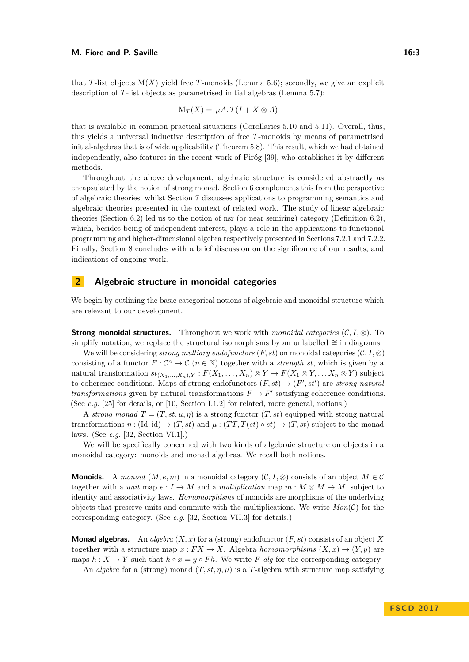that *T*-list objects  $M(X)$  yield free *T*-monoids (Lemma [5.6\)](#page-7-0); secondly, we give an explicit description of *T*-list objects as parametrised initial algebras (Lemma [5.7\)](#page-8-0):

$$
\mathcal{M}_T(X) = \mu A \cdot T(I + X \otimes A)
$$

that is available in common practical situations (Corollaries [5.10](#page-9-0) and [5.11\)](#page-9-1). Overall, thus, this yields a universal inductive description of free *T*-monoids by means of parametrised initial-algebras that is of wide applicability (Theorem [5.8\)](#page-8-1). This result, which we had obtained independently, also features in the recent work of Piróg [\[39\]](#page-16-7), who establishes it by different methods.

Throughout the above development, algebraic structure is considered abstractly as encapsulated by the notion of strong monad. Section [6](#page-9-2) complements this from the perspective of algebraic theories, whilst Section [7](#page-12-0) discusses applications to programming semantics and algebraic theories presented in the context of related work. The study of linear algebraic theories (Section [6.2\)](#page-10-0) led us to the notion of nsr (or near semiring) category (Definition [6.2\)](#page-11-0), which, besides being of independent interest, plays a role in the applications to functional programming and higher-dimensional algebra respectively presented in Sections [7.2.1](#page-13-1) and [7.2.2.](#page-13-0) Finally, Section [8](#page-14-0) concludes with a brief discussion on the significance of our results, and indications of ongoing work.

## <span id="page-2-0"></span>**2 Algebraic structure in monoidal categories**

We begin by outlining the basic categorical notions of algebraic and monoidal structure which are relevant to our development.

**Strong monoidal structures.** Throughout we work with *monoidal categories* ( $C, I, \otimes$ ). To simplify notation, we replace the structural isomorphisms by an unlabelled  $\cong$  in diagrams.

We will be considering *strong multiary endofunctors*  $(F, st)$  on monoidal categories  $(C, I, \otimes)$ consisting of a functor  $F: \mathcal{C}^n \to \mathcal{C}$   $(n \in \mathbb{N})$  together with a *strength st*, which is given by a natural transformation  $st_{(X_1,...,X_n),Y}: F(X_1,...,X_n) \otimes Y \to F(X_1 \otimes Y,...,X_n \otimes Y)$  subject to coherence conditions. Maps of strong endofunctors  $(F, st) \rightarrow (F', st')$  are *strong natural transformations* given by natural transformations  $F \to F'$  satisfying coherence conditions. (See *e.g.* [\[25\]](#page-16-8) for details, or [\[10,](#page-15-1) Section I.1.2] for related, more general, notions.)

A *strong monad*  $T = (T, st, \mu, \eta)$  is a strong functor  $(T, st)$  equipped with strong natural transformations  $\eta$  : (Id, id)  $\rightarrow$  (*T*, *st*) and  $\mu$  : (*TT*, *T*(*st*)  $\circ$  *st*)  $\rightarrow$  (*T*, *st*) subject to the monad laws. (See *e.g.* [\[32,](#page-16-9) Section VI.1].)

We will be specifically concerned with two kinds of algebraic structure on objects in a monoidal category: monoids and monad algebras. We recall both notions.

**Monoids.** A *monoid*  $(M, e, m)$  in a monoidal category  $(C, I, \otimes)$  consists of an object  $M \in \mathcal{C}$ together with a *unit* map  $e: I \to M$  and a *multiplication* map  $m: M \otimes M \to M$ , subject to identity and associativity laws. *Homomorphisms* of monoids are morphisms of the underlying objects that preserve units and commute with the multiplications. We write  $Mon(C)$  for the corresponding category. (See *e.g.* [\[32,](#page-16-9) Section VII.3] for details.)

**Monad algebras.** An *algebra*  $(X, x)$  for a (strong) endofunctor  $(F, st)$  consists of an object X together with a structure map  $x : FX \to X$ . Algebra *homomorphisms*  $(X, x) \to (Y, y)$  are maps  $h: X \to Y$  such that  $h \circ x = y \circ Fh$ . We write *F*-*alg* for the corresponding category.

An *algebra* for a (strong) monad  $(T, st, \eta, \mu)$  is a *T*-algebra with structure map satisfying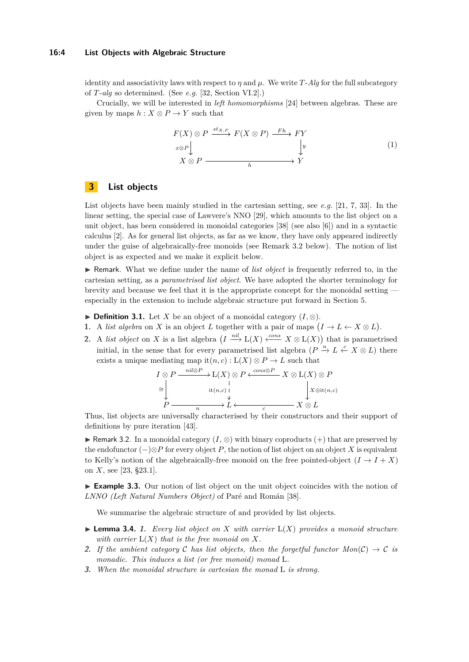#### **16:4 List Objects with Algebraic Structure**

identity and associativity laws with respect to  $\eta$  and  $\mu$ . We write *T*-*Alg* for the full subcategory of *T*-*alg* so determined. (See *e.g.* [\[32,](#page-16-9) Section VI.2].)

Crucially, we will be interested in *left homomorphisms* [\[24\]](#page-16-10) between algebras. These are given by maps  $h: X \otimes P \to Y$  such that

<span id="page-3-3"></span>
$$
F(X) \otimes P \xrightarrow{st_{X,P}} F(X \otimes P) \xrightarrow{Fh} FY
$$
  
\n
$$
X \otimes P \xrightarrow{}
$$
  
\n
$$
Y
$$
  
\n
$$
(1)
$$
  
\n
$$
Y
$$

# <span id="page-3-1"></span>**3 List objects**

List objects have been mainly studied in the cartesian setting, see *e.g.* [\[21,](#page-16-4) [7,](#page-15-2) [33\]](#page-16-5). In the linear setting, the special case of Lawvere's NNO [\[29\]](#page-16-3), which amounts to the list object on a unit object, has been considered in monoidal categories [\[38\]](#page-16-6) (see also [\[6\]](#page-15-0)) and in a syntactic calculus [\[2\]](#page-15-3). As for general list objects, as far as we know, they have only appeared indirectly under the guise of algebraically-free monoids (see Remark [3.2](#page-3-2) below). The notion of list object is as expected and we make it explicit below.

I Remark. What we define under the name of *list object* is frequently referred to, in the cartesian setting, as a *parametrised list object*. We have adopted the shorter terminology for brevity and because we feel that it is the appropriate concept for the monoidal setting especially in the extension to include algebraic structure put forward in Section [5.](#page-6-1)

- <span id="page-3-0"></span>**► Definition 3.1.** Let *X* be an object of a monoidal category  $(I, \otimes)$ .
- **1.** A *list algebra* on *X* is an object *L* together with a pair of maps  $(I \to L \leftarrow X \otimes L)$ .
- **2.** A *list object* on *X* is a list algebra  $(I \xrightarrow{nil} L(X) \xleftarrow{cons} X \otimes L(X))$  that is parametrised initial, in the sense that for every parametrised list algebra  $(P \stackrel{n}{\to} L \stackrel{c}{\leftarrow} X \otimes L)$  there exists a unique mediating map it $(n, c) : L(X) \otimes P \to L$  such that

$$
I \otimes P \xrightarrow{\text{nil} \otimes P} L(X) \otimes P \xleftarrow{\text{cons} \otimes P} X \otimes L(X) \otimes P
$$
  
\n
$$
\cong \downarrow \qquad \qquad \downarrow \qquad \qquad \downarrow
$$
  
\n
$$
P \xrightarrow{\text{lit}(n,c)} L \xleftarrow{\text{rel}} X \otimes L
$$

Thus, list objects are universally characterised by their constructors and their support of definitions by pure iteration [\[43\]](#page-16-2).

<span id="page-3-2"></span>**► Remark 3.2.** In a monoidal category  $(I, \otimes)$  with binary coproducts  $(+)$  that are preserved by the endofunctor (−)⊗*P* for every object *P*, the notion of list object on an object *X* is equivalent to Kelly's notion of the algebraically-free monoid on the free pointed-object  $(I \rightarrow I + X)$ on *X*, see [\[23,](#page-16-11) §23.1].

► **Example 3.3.** Our notion of list object on the unit object coincides with the notion of *LNNO (Left Natural Numbers Object)* of Paré and Román [\[38\]](#page-16-6).

We summarise the algebraic structure of and provided by list objects.

- $\blacktriangleright$  **Lemma 3.4.** *1. Every list object on X with carrier*  $L(X)$  *provides a monoid structure with carrier*  $L(X)$  *that is the free monoid on*  $X$ *.*
- **2.** If the ambient category C has list objects, then the forgetful functor  $Mon(C) \rightarrow C$  is *monadic. This induces a list (or free monoid) monad* L*.*
- **3.** *When the monoidal structure is cartesian the monad* L *is strong.*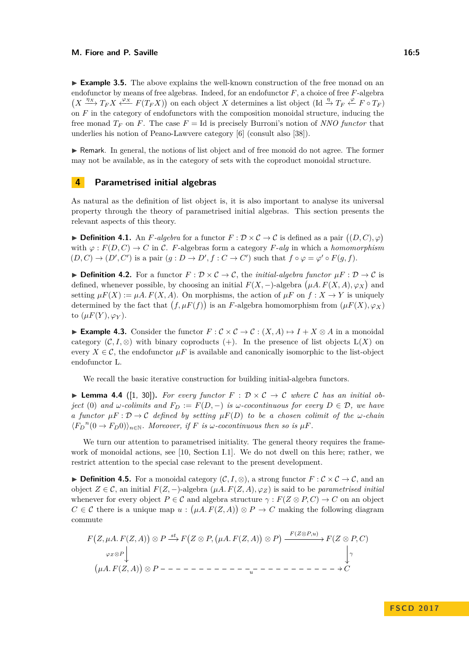<span id="page-4-0"></span>► **Example 3.5.** The above explains the well-known construction of the free monad on an endofunctor by means of free algebras. Indeed, for an endofunctor *F*, a choice of free *F*-algebra  $(X \xrightarrow{\eta_X} T_F X \xleftarrow{\varphi_X} F(T_F X))$  on each object X determines a list object  $(\text{Id} \xrightarrow{\eta_X} T_F \xleftarrow{\varphi} F \circ T_F)$ on *F* in the category of endofunctors with the composition monoidal structure, inducing the free monad  $T_F$  on *F*. The case  $F = Id$  is precisely Burroni's notion of *NNO functor* that underlies his notion of Peano-Lawvere category [\[6\]](#page-15-0) (consult also [\[38\]](#page-16-6)).

I Remark. In general, the notions of list object and of free monoid do not agree. The former may not be available, as in the category of sets with the coproduct monoidal structure.

# <span id="page-4-1"></span>**4 Parametrised initial algebras**

As natural as the definition of list object is, it is also important to analyse its universal property through the theory of parametrised initial algebras. This section presents the relevant aspects of this theory.

**Definition 4.1.** An *F*-algebra for a functor  $F : \mathcal{D} \times \mathcal{C} \to \mathcal{C}$  is defined as a pair  $((D, C), \varphi)$ with  $\varphi$ :  $F(D, C) \to C$  in C. *F*-algebras form a category *F-alg* in which a *homomorphism*  $(D, C) \rightarrow (D', C')$  is a pair  $(g: D \rightarrow D', f: C \rightarrow C')$  such that  $f \circ \varphi = \varphi' \circ F(g, f)$ .

**► Definition 4.2.** For a functor  $F : \mathcal{D} \times \mathcal{C} \to \mathcal{C}$ , the *initial-algebra functor*  $\mu F : \mathcal{D} \to \mathcal{C}$  is defined, whenever possible, by choosing an initial  $F(X, -)$ -algebra  $(\mu A. F(X, A), \varphi_X)$  and setting  $\mu F(X) := \mu A \cdot F(X, A)$ . On morphisms, the action of  $\mu F$  on  $f : X \to Y$  is uniquely determined by the fact that  $(f, \mu F(f))$  is an *F*-algebra homomorphism from  $(\mu F(X), \varphi_X)$ to  $(\mu F(Y), \varphi_Y)$ .

**► Example 4.3.** Consider the functor  $F : \mathcal{C} \times \mathcal{C} \to \mathcal{C} : (X, A) \mapsto I + X \otimes A$  in a monoidal category  $(C, I, \otimes)$  with binary coproducts (+). In the presence of list objects  $L(X)$  on every  $X \in \mathcal{C}$ , the endofunctor  $\mu F$  is available and canonically isomorphic to the list-object endofunctor L.

We recall the basic iterative construction for building initial-algebra functors.

**I Lemma 4.4** ([\[1,](#page-15-4) [30\]](#page-16-12)). For every functor  $F : D \times C \rightarrow C$  where C has an initial ob*ject* (0) and  $\omega$ -colimits and  $F_D := F(D, -)$  *is*  $\omega$ -cocontinuous for every  $D \in \mathcal{D}$ , we have *a functor*  $\mu F : \mathcal{D} \to \mathcal{C}$  *defined by setting*  $\mu F(D)$  *to be a chosen colimit of the*  $\omega$ *-chain*  $\langle F_D^n(0 \to F_D 0) \rangle_{n \in \mathbb{N}}$ *. Moreover, if F is*  $\omega$ *-cocontinuous then so is*  $\mu F$ *.* 

We turn our attention to parametrised initiality. The general theory requires the framework of monoidal actions, see [\[10,](#page-15-1) Section I.1]. We do not dwell on this here; rather, we restrict attention to the special case relevant to the present development.

<span id="page-4-2"></span>**► Definition 4.5.** For a monoidal category  $(C, I, \otimes)$ , a strong functor  $F : C \times C \rightarrow C$ , and an object *Z* ∈ C, an initial *F*(*Z,* −)-algebra (*µA. F*(*Z, A*)*, ϕZ*) is said to be *parametrised initial* whenever for every object  $P \in \mathcal{C}$  and algebra structure  $\gamma : F(Z \otimes P, C) \to C$  on an object  $C \in \mathcal{C}$  there is a unique map  $u : (\mu A. F(Z, A)) \otimes P \to C$  making the following diagram commute

*F Z, µA. F*(*Z, A*) ⊗ *P ϕ<sup>Z</sup>* ⊗*P st* /*F Z* ⊗ *P, µA. F*(*Z, A*) ⊗ *P <sup>F</sup>* (*Z*⊗*P,u*) /*F*(*Z* ⊗ *P, C*) *γ µA. F*(*Z, A*) ⊗ *P <sup>u</sup>* /*C*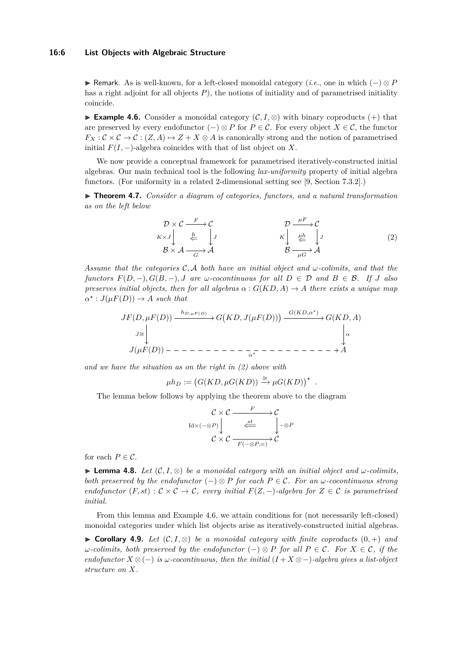#### **16:6 List Objects with Algebraic Structure**

**Exercise** Remark. As is well-known, for a left-closed monoidal category (*i.e.*, one in which  $(-) \otimes P$ has a right adjoint for all objects *P*), the notions of initiality and of parametrised initiality coincide.

<span id="page-5-3"></span>**Example 4.6.** Consider a monoidal category  $(C, I, \otimes)$  with binary coproducts (+) that are preserved by every endofunctor  $(-) \otimes P$  for  $P \in \mathcal{C}$ . For every object  $X \in \mathcal{C}$ , the functor  $F_X: \mathcal{C} \times \mathcal{C} \to \mathcal{C}: (Z, A) \mapsto Z + X \otimes A$  is canonically strong and the notion of parametrised initial  $F(I, -)$ -algebra coincides with that of list object on X.

We now provide a conceptual framework for parametrised iteratively-constructed initial algebras. Our main technical tool is the following *lax-uniformity* property of initial algebra functors. (For uniformity in a related 2-dimensional setting see [\[9,](#page-15-5) Section 7.3.2].)

▶ **Theorem 4.7.** *Consider a diagram of categories, functors, and a natural transformation as on the left below*

<span id="page-5-2"></span>
$$
\mathcal{D} \times \mathcal{C} \xrightarrow{F} \mathcal{C} \nK \times J \xrightarrow{\underline{b}} \xrightarrow{\underline{b}} J \n\mathcal{B} \times \mathcal{A} \xrightarrow{G} \mathcal{A}
$$
\n
$$
\mathcal{D} \xrightarrow{\mu F} \mathcal{C} \nK \xrightarrow{\underline{b}} \xrightarrow{\underline{\mu} \underline{b}} J \n\mathcal{B} \xrightarrow{\underline{\mu} \underline{b}} \mathcal{A}
$$
\n
$$
(2)
$$

*.*

*Assume that the categories* C*,* A *both have an initial object and ω-colimits, and that the functors*  $F(D, -), G(B, -), J$  *are*  $\omega$ -cocontinuous for all  $D \in \mathcal{D}$  and  $B \in \mathcal{B}$ . If *J* also *preserves initial objects, then for all algebras*  $\alpha$  :  $G(KD, A) \rightarrow A$  *there exists a unique map*  $\alpha^*$ : *J*( $\mu F(D)$ )  $\rightarrow$  *A such that* 

*JF*(*D, µF*(*D*)) *J*∼= *hD,µF* (*D*) /*G KD, J*(*µF*(*D*)) *<sup>G</sup>*(*KD,α?* ) /*G*(*KD, A*) *α J*(*µF*(*D*)) *α ?* /*A*

*and we have the situation as on the right in [\(2\)](#page-5-2) above with*

$$
\mu h_D := \big( G(KD, \mu G(KD)) \xrightarrow{\cong} \mu G(KD) \big)^{\star}
$$

The lemma below follows by applying the theorem above to the diagram

$$
\begin{array}{ccc}\n\mathcal{C} \times \mathcal{C} & \xrightarrow{F} & \mathcal{C} \\
\downarrow \text{Id} \times (- \otimes P) & \xleftarrow{\text{set}} & \downarrow - \otimes P \\
\mathcal{C} \times \mathcal{C} & \xrightarrow{F(- \otimes P, =)} & \mathcal{C}\n\end{array}
$$

for each  $P \in \mathcal{C}$ .

<span id="page-5-1"></span>**► Lemma 4.8.** *Let*  $(C, I, \otimes)$  *be a monoidal category with an initial object and*  $\omega$ *-colimits, both preserved by the endofunctor*  $(-) \otimes P$  *for each*  $P \in \mathcal{C}$ *. For an*  $\omega$ -cocontinuous strong *endofunctor*  $(F, st) : \mathcal{C} \times \mathcal{C} \to \mathcal{C}$ *, every initial*  $F(Z, -)$ *-algebra for*  $Z \in \mathcal{C}$  *is parametrised initial.*

From this lemma and Example [4.6,](#page-5-3) we attain conditions for (not necessarily left-closed) monoidal categories under which list objects arise as iteratively-constructed initial algebras.

<span id="page-5-0"></span>**► Corollary 4.9.** *Let*  $(C, I, \otimes)$  *be a monoidal category with finite coproducts*  $(0, +)$  *and*  $\omega$ *-colimits, both preserved by the endofunctor*  $(-) \otimes P$  *for all*  $P \in \mathcal{C}$ *. For*  $X \in \mathcal{C}$ *, if the endofunctor*  $X \otimes (-)$  *is*  $\omega$ *-cocontinuous, then the initial*  $(I + X \otimes -)$ *-algebra gives a list-object structure on X.*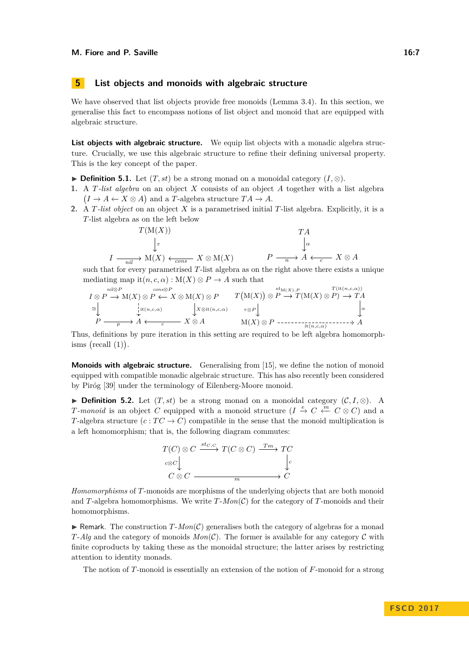# <span id="page-6-1"></span>**5 List objects and monoids with algebraic structure**

We have observed that list objects provide free monoids (Lemma [3.4\)](#page-0-0). In this section, we generalise this fact to encompass notions of list object and monoid that are equipped with algebraic structure.

**List objects with algebraic structure.** We equip list objects with a monadic algebra structure. Crucially, we use this algebraic structure to refine their defining universal property. This is the key concept of the paper.

- <span id="page-6-0"></span>**► Definition 5.1.** Let  $(T, st)$  be a strong monad on a monoidal category  $(I, \otimes)$ .
- **1.** A *T-list algebra* on an object *X* consists of an object *A* together with a list algebra  $(I \to A \leftarrow X \otimes A)$  and a *T*-algebra structure  $TA \to A$ .
- **2.** A *T-list object* on an object *X* is a parametrised initial *T*-list algebra. Explicitly, it is a *T*-list algebra as on the left below

$$
T(M(X))
$$
  
\n
$$
\downarrow_{\tau}
$$
  
\n
$$
I \xrightarrow[n \text{min}]{T(A)}
$$
  
\n
$$
I \xrightarrow[n \text{min}]{T(A)}
$$
  
\n
$$
I \xrightarrow[n \text{min}]{T(A)}
$$
  
\n
$$
X \otimes M(X)
$$
  
\n
$$
P \xrightarrow[n \to]{} A \xleftarrow[c]{T(A)}
$$
  
\n
$$
X \otimes A
$$

such that for every parametrised *T*-list algebra as on the right above there exists a unique mediating map it $(n, c, \alpha) : M(X) \otimes P \to A$  such that

$$
I \otimes P \to M(X) \otimes P \leftarrow X \otimes M(X) \otimes P \qquad T(M(X)) \otimes P \to T(M(X) \otimes P) \to TA
$$
  
\n
$$
\cong \downarrow \qquad \qquad \downarrow i^{t(n,c,\alpha)} \qquad \qquad \downarrow X \otimes it(n,c,\alpha) \qquad \qquad \downarrow \infty
$$
  
\n
$$
P \longrightarrow A \leftarrow c \qquad X \otimes A \qquad M(X) \otimes P \longrightarrow T(M(X) \otimes P) \to TA
$$
  
\n
$$
\downarrow \qquad M(X) \otimes P \longrightarrow T(M(X) \otimes P) \to TA
$$

Thus, definitions by pure iteration in this setting are required to be left algebra homomorphisms  $(\text{recall } (1)).$  $(\text{recall } (1)).$  $(\text{recall } (1)).$ 

**Monoids with algebraic structure.** Generalising from [\[15\]](#page-15-6), we define the notion of monoid equipped with compatible monadic algebraic structure. This has also recently been considered by Piróg [\[39\]](#page-16-7) under the terminology of Eilenberg-Moore monoid.

<span id="page-6-2"></span>**► Definition 5.2.** Let  $(T, st)$  be a strong monad on a monoidal category  $(C, I, \otimes)$ . A *T-monoid* is an object *C* equipped with a monoid structure (*I*  $\stackrel{e}{\to} C \stackrel{m}{\leftarrow} C \otimes C$ ) and a *T*-algebra structure  $(c:TC\to C)$  compatible in the sense that the monoid multiplication is a left homomorphism; that is, the following diagram commutes:



*Homomorphisms* of *T*-monoids are morphisms of the underlying objects that are both monoid and *T*-algebra homomorphisms. We write  $T$ - $Mon(\mathcal{C})$  for the category of *T*-monoids and their homomorphisms.

**F** Remark. The construction  $T-Mon(\mathcal{C})$  generalises both the category of algebras for a monad *T*-*Alg* and the category of monoids  $Mon(\mathcal{C})$ . The former is available for any category  $\mathcal{C}$  with finite coproducts by taking these as the monoidal structure; the latter arises by restricting attention to identity monads.

The notion of *T*-monoid is essentially an extension of the notion of *F*-monoid for a strong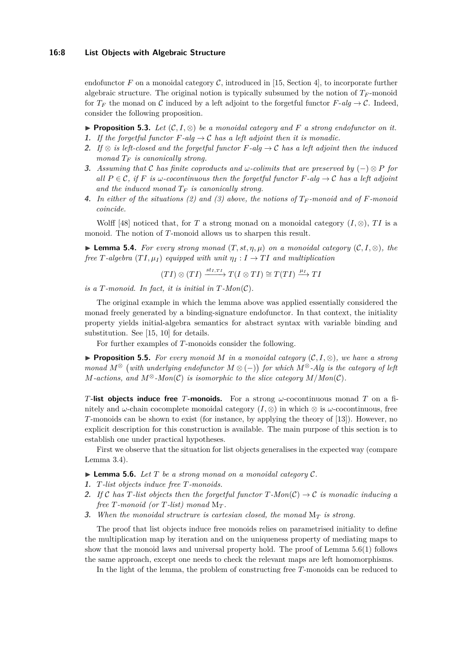#### **16:8 List Objects with Algebraic Structure**

endofunctor  $F$  on a monoidal category  $\mathcal{C}$ , introduced in [\[15,](#page-15-6) Section 4], to incorporate further algebraic structure. The original notion is typically subsumed by the notion of  $T_F$ -monoid for  $T_F$  the monad on C induced by a left adjoint to the forgetful functor  $F$ - $alq \rightarrow C$ . Indeed, consider the following proposition.

<span id="page-7-4"></span>**► Proposition 5.3.** Let  $(C, I, \otimes)$  be a monoidal category and F a strong endofunctor on it.

- **1.** If the forgetful functor  $F$ -alg  $\rightarrow$  C has a left adjoint then it is monadic.
- <span id="page-7-1"></span>**2.** *If* ⊗ *is left-closed and the forgetful functor F-alg* → C *has a left adjoint then the induced monad T<sup>F</sup> is canonically strong.*
- <span id="page-7-2"></span>**3.** *Assuming that* C *has finite coproducts and ω-colimits that are preserved by* (−) ⊗ *P for all*  $P \in \mathcal{C}$ , if *F* is  $\omega$ -cocontinuous then the forgetful functor  $F$ -alg  $\rightarrow \mathcal{C}$  has a left adjoint *and the induced monad T<sup>F</sup> is canonically strong.*
- **4.** In either of the situations [\(2\)](#page-7-1) and [\(3\)](#page-7-2) above, the notions of  $T_F$ -monoid and of  $F$ -monoid *coincide.*

Wolff [\[48\]](#page-17-1) noticed that, for *T* a strong monad on a monoidal category  $(I, \otimes)$ , *TI* is a monoid. The notion of *T*-monoid allows us to sharpen this result.

**► Lemma 5.4.** For every strong monad  $(T, st, \eta, \mu)$  on a monoidal category  $(C, I, \otimes)$ , the *free*  $T$ -algebra  $(TI, \mu_I)$  equipped with unit  $\eta_I : I \to TI$  and multiplication

 $(TI) \otimes (TI) \xrightarrow{st_{I,TI}} T(I \otimes TI) \cong T(TI) \xrightarrow{\mu_I} TI$ 

*is a T-monoid. In fact, it is initial in*  $T$ *-Mon*( $C$ ).

The original example in which the lemma above was applied essentially considered the monad freely generated by a binding-signature endofunctor. In that context, the initiality property yields initial-algebra semantics for abstract syntax with variable binding and substitution. See [\[15,](#page-15-6) [10\]](#page-15-1) for details.

For further examples of *T*-monoids consider the following.

<span id="page-7-5"></span>**► Proposition 5.5.** For every monoid M in a monoidal category  $(C, I, \otimes)$ , we have a strong *monad*  $M^{\otimes}$  (with underlying endofunctor  $M \otimes (-)$ ) for which  $M^{\otimes}$ -Alg is the category of left *M*-actions, and  $M^{\otimes}$ -Mon $(C)$  is isomorphic to the slice category  $M/Mon(C)$ .

*T***-list objects induce free** *T***-monoids.** For a strong *ω*-cocontinuous monad *T* on a finitely and *ω*-chain cocomplete monoidal category  $(I, \otimes)$  in which  $\otimes$  is *ω*-cocontinuous, free *T*-monoids can be shown to exist (for instance, by applying the theory of [\[13\]](#page-15-7)). However, no explicit description for this construction is available. The main purpose of this section is to establish one under practical hypotheses.

First we observe that the situation for list objects generalises in the expected way (compare Lemma [3.4\)](#page-0-0).

- <span id="page-7-0"></span> $\blacktriangleright$  **Lemma 5.6.** Let T be a strong monad on a monoidal category C.
- <span id="page-7-3"></span>**1.** *T-list objects induce free T-monoids.*
- **2.** If C has T-list objects then the forgetful functor  $T$ -Mon $(C) \rightarrow C$  is monadic inducing a *free*  $T$ *-monoid (or*  $T$ *-list) monad*  $M_T$ *.*
- **3.** *When the monoidal structrure is cartesian closed, the monad* M*<sup>T</sup> is strong.*

The proof that list objects induce free monoids relies on parametrised initiality to define the multiplication map by iteration and on the uniqueness property of mediating maps to show that the monoid laws and universal property hold. The proof of Lemma [5.6\(](#page-7-0)[1\)](#page-7-3) follows the same approach, except one needs to check the relevant maps are left homomorphisms.

In the light of the lemma, the problem of constructing free *T*-monoids can be reduced to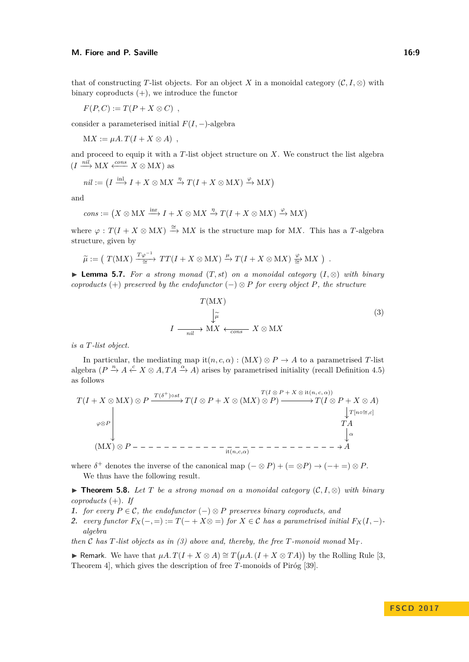#### **M. Fiore and P. Saville 16:9 16:9**

$$
F(P, C) := T(P + X \otimes C) ,
$$

consider a parameterised initial  $F(I, -)$ -algebra

 $MX := \mu A \cdot T(I + X \otimes A)$ ,

and proceed to equip it with a *T*-list object structure on *X*. We construct the list algebra  $(I \xrightarrow{nil} MX \xleftarrow{cons} X \otimes MX)$  as

$$
\mathit{nil} := \left( I \xrightarrow{\operatorname{inl}} I + X \otimes \operatorname{M}\nolimits X \xrightarrow{\eta} T(I + X \otimes \operatorname{M}\nolimits X) \xrightarrow{\varphi} \operatorname{M}\nolimits X \right)
$$

and

$$
cons := (X \otimes \mathbf{M}X \xrightarrow{\text{inv}} I + X \otimes \mathbf{M}X \xrightarrow{\eta} T(I + X \otimes \mathbf{M}X) \xrightarrow{\varphi} \mathbf{M}X)
$$

where  $\varphi: T(I + X \otimes \mathbf{M}X) \xrightarrow{\cong} \mathbf{M}X$  is the structure map for MX. This has a *T*-algebra structure, given by

$$
\widetilde{\mu} := (T(MX) \xrightarrow{\frac{T\varphi^{-1}}{\cong}} TT(I + X \otimes MX) \xrightarrow{\mu} T(I + X \otimes MX) \xrightarrow{\varphi} MX).
$$

<span id="page-8-0"></span>**► Lemma 5.7.** *For a strong monad*  $(T, st)$  *on a monoidal category*  $(I, \otimes)$  *with binary coproducts* (+) *preserved by the endofunctor* ( $-\alpha$ )  $\otimes$  *P for every object P, the structure* 

<span id="page-8-2"></span>
$$
T(MX)
$$
  
\n
$$
\downarrow \widetilde{\mu}
$$
  
\n
$$
I \xrightarrow[nil]{}
$$
  
\n
$$
MX \xleftarrow[cons]{}
$$
  
\n
$$
X \otimes MX
$$
  
\n(3)

*is a T-list object.*

In particular, the mediating map it $(n, c, \alpha) : (MX) \otimes P \rightarrow A$  to a parametrised *T*-list algebra  $(P \stackrel{n}{\to} A \stackrel{c}{\leftarrow} X \otimes A, TA \stackrel{\alpha}{\to} A)$  arises by parametrised initiality (recall Definition [4.5\)](#page-4-2) as follows

$$
T(I + X \otimes \mathbf{M}X) \otimes P \xrightarrow{T(\delta^+) \circ st} T(I \otimes P + X \otimes (\mathbf{M}X) \otimes P) \xrightarrow{T(I \otimes P + X \otimes \text{it}(n, c, \alpha))} T(I \otimes P + X \otimes A)
$$
\n
$$
\downarrow^{T[n \circ \cong, c]} \qquad T\mathbf{A}
$$
\n
$$
(\mathbf{M}X) \otimes P - \cdots - \cdots - \cdots - \cdots - \cdots - \cdots - \cdots - \cdots - \cdots \rightarrow A
$$

where  $\delta^+$  denotes the inverse of the canonical map  $(- \otimes P) + (= \otimes P) \rightarrow (-+ =) \otimes P$ . We thus have the following result.

<span id="page-8-1"></span>**► Theorem 5.8.** Let  $T$  be a strong monad on a monoidal category  $(C, I, \otimes)$  with binary *coproducts* (+)*. If*

- **1.** *for every*  $P \in \mathcal{C}$ *, the endofunctor*  $(−) ⊗ P$  *preserves binary coproducts, and*
- 2. *every functor*  $F_X(-, =) := T(- + X \otimes =)$  *for*  $X \in \mathcal{C}$  *has a parametrised initial*  $F_X(I, -)$ *algebra*

*then*  $\mathcal C$  *has*  $T$ *-list objects as in [\(3\)](#page-8-2) above and, thereby, the free*  $T$ *-monoid monad*  $M_T$ *.* 

**► Remark.** We have that  $\mu A$ .  $T(I + X ⊗ A) \cong T(\mu A$ .  $(I + X ⊗ TA)$  by the Rolling Rule [\[3,](#page-15-8) Theorem 4], which gives the description of free *T*-monoids of Piróg [\[39\]](#page-16-7).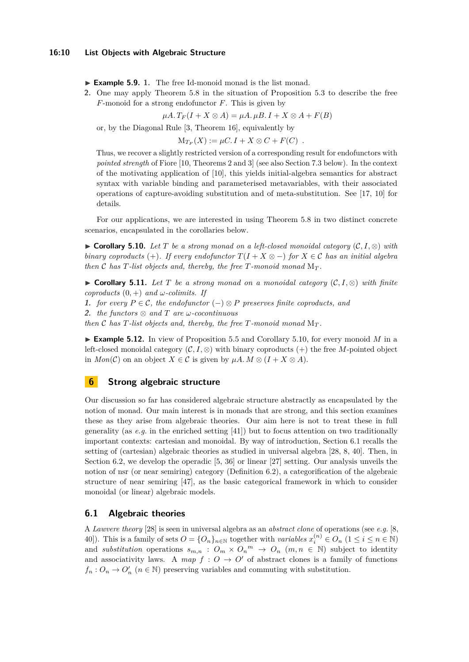► **Example 5.9.** 1. The free Id-monoid monad is the list monad.

<span id="page-9-4"></span>**2.** One may apply Theorem [5.8](#page-8-1) in the situation of Proposition [5.3](#page-7-4) to describe the free *F*-monoid for a strong endofunctor *F*. This is given by

 $\mu A. T_F(I + X \otimes A) = \mu A. \mu B. I + X \otimes A + F(B)$ 

or, by the Diagonal Rule [\[3,](#page-15-8) Theorem 16], equivalently by

 $M_{T_F}(X) := \mu C \cdot I + X \otimes C + F(C)$ .

Thus, we recover a slightly restricted version of a corresponding result for endofunctors with *pointed strength* of Fiore [\[10,](#page-15-1) Theorems 2 and 3] (see also Section [7.3](#page-14-1) below). In the context of the motivating application of [\[10\]](#page-15-1), this yields initial-algebra semantics for abstract syntax with variable binding and parameterised metavariables, with their associated operations of capture-avoiding substitution and of meta-substitution. See [\[17,](#page-15-9) [10\]](#page-15-1) for details.

For our applications, we are interested in using Theorem [5.8](#page-8-1) in two distinct concrete scenarios, encapsulated in the corollaries below.

<span id="page-9-0"></span>**► Corollary 5.10.** *Let*  $T$  *be a strong monad on a left-closed monoidal category*  $(C, I, \otimes)$  *with binary coproducts* (+). If every endofunctor  $T(I + X \otimes -)$  for  $X \in \mathcal{C}$  has an initial algebra *then*  $\mathcal{C}$  *has*  $T$ *-list objects and, thereby, the free*  $T$ *-monoid monad*  $M_T$ *.* 

<span id="page-9-1"></span>**► Corollary 5.11.** Let T be a strong monad on a monoidal category  $(C, I, \otimes)$  with finite *coproducts*  $(0,+)$  *and*  $\omega$ *-colimits. If* 

**1.** *for every*  $P \in \mathcal{C}$ *, the endofunctor*  $(−) ⊗ P$  *preserves finite coproducts, and* 

**2.** *the functors* ⊗ *and T are ω-cocontinuous*

*then*  $C$  *has*  $T$ *-list objects and, thereby, the free*  $T$ *-monoid monad*  $M_T$ *.* 

**Example 5.12.** In view of Proposition [5.5](#page-7-5) and Corollary [5.10,](#page-9-0) for every monoid  $M$  in a left-closed monoidal category  $(C, I, \otimes)$  with binary coproducts  $(+)$  the free *M*-pointed object in  $Mon(\mathcal{C})$  on an object  $X \in \mathcal{C}$  is given by  $\mu A. M \otimes (I + X \otimes A)$ .

# <span id="page-9-2"></span>**6 Strong algebraic structure**

Our discussion so far has considered algebraic structure abstractly as encapsulated by the notion of monad. Our main interest is in monads that are strong, and this section examines these as they arise from algebraic theories. Our aim here is not to treat these in full generality (as *e.g.* in the enriched setting [\[41\]](#page-16-13)) but to focus attention on two traditionally important contexts: cartesian and monoidal. By way of introduction, Section [6.1](#page-9-3) recalls the setting of (cartesian) algebraic theories as studied in universal algebra [\[28,](#page-16-14) [8,](#page-15-10) [40\]](#page-16-15). Then, in Section [6.2,](#page-10-0) we develop the operadic [\[5,](#page-15-11) [36\]](#page-16-16) or linear [\[27\]](#page-16-17) setting. Our analysis unveils the notion of nsr (or near semiring) category (Definition [6.2\)](#page-11-0), a categorification of the algebraic structure of near semiring [\[47\]](#page-17-2), as the basic categorical framework in which to consider monoidal (or linear) algebraic models.

## <span id="page-9-3"></span>**6.1 Algebraic theories**

A *Lawvere theory* [\[28\]](#page-16-14) is seen in universal algebra as an *abstract clone* of operations (see *e.g.* [\[8,](#page-15-10) [40\]](#page-16-15)). This is a family of sets  $O = \{O_n\}_{n \in \mathbb{N}}$  together with *variables*  $x_i^{(n)} \in O_n$   $(1 \le i \le n \in \mathbb{N})$ and *substitution* operations  $s_{m,n}$ :  $O_m \times O_n$ <sup>*m*</sup>  $\rightarrow O_n$  (*m, n*  $\in$  N) subject to identity and associativity laws. A map  $f: O \to O'$  of abstract clones is a family of functions  $f_n: O_n \to O'_n$  ( $n \in \mathbb{N}$ ) preserving variables and commuting with substitution.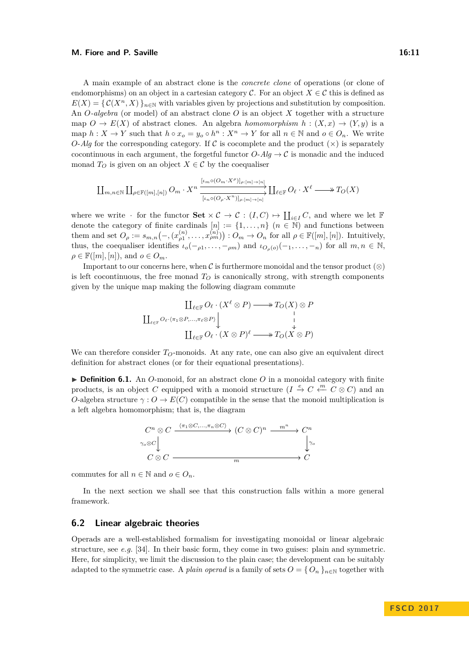#### **M. Fiore and P. Saville 16:11**

A main example of an abstract clone is the *concrete clone* of operations (or clone of endomorphisms) on an object in a cartesian category  $\mathcal{C}$ . For an object  $X \in \mathcal{C}$  this is defined as  $E(X) = \{ \mathcal{C}(X^n, X) \}_{n \in \mathbb{N}}$  with variables given by projections and substitution by composition. An *O-algebra* (or model) of an abstract clone *O* is an object *X* together with a structure map  $O \to E(X)$  of abstract clones. An algebra *homomorphism*  $h : (X, x) \to (Y, y)$  is a map  $h: X \to Y$  such that  $h \circ x_o = y_o \circ h^n : X^n \to Y$  for all  $n \in \mathbb{N}$  and  $o \in O_n$ . We write *O-Alg* for the corresponding category. If C is cocomplete and the product  $(\times)$  is separately cocontinuous in each argument, the forgetful functor  $O$ - $Alg \to C$  is monadic and the induced monad  $T_O$  is given on an object  $X \in \mathcal{C}$  by the coequaliser

$$
\coprod_{m,n\in\mathbb{N}}\coprod_{\rho\in\mathbb{F}([m],[n])}O_m\cdot X^n\xrightarrow{\frac{[\iota_m\circ(O_m\cdot X^{\rho})]_{\rho:[m]\to[n]}}\coprod_{\ell\in\mathbb{F}}O_{\ell}\cdot X^{\ell}\longrightarrow T_O(X)
$$

where we write  $\cdot$  for the functor  $\textbf{Set} \times \mathcal{C} \to \mathcal{C} : (I, C) \mapsto \coprod_{i \in I} C$ , and where we let  $\mathbb{F}$ denote the category of finite cardinals  $[n] := \{1, \ldots, n\}$   $(n \in \mathbb{N})$  and functions between them and set  $O_\rho := s_{m,n}\big(\text{--}, (x_{\rho 1}^{(n)}, \ldots, x_{\rho m}^{(n)})\big)$  :  $O_m \to O_n$  for all  $\rho \in \mathbb{F}([m], [n])$ . Intuitively, thus, the coequaliser identifies  $\iota_o(-\rho_1,\ldots,-\rho_m)$  and  $\iota_{O_\rho(o)}(-1,\ldots,-n)$  for all  $m, n \in \mathbb{N}$ ,  $\rho \in \mathbb{F}([m], [n]),$  and  $o \in O_m$ .

Important to our concerns here, when  $\mathcal C$  is furthermore monoidal and the tensor product (⊗) is left cocontinuous, the free monad  $T_Q$  is canonically strong, with strength components given by the unique map making the following diagram commute

$$
\begin{array}{c}\n\coprod_{\ell \in \mathbb{F}} O_{\ell} \cdot (X^{\ell} \otimes P) \longrightarrow T_{O}(X) \otimes P \\
\coprod_{\ell \in \mathbb{F}} O_{\ell} \cdot (\pi_1 \otimes P, \dots, \pi_{\ell} \otimes P) \downarrow \qquad \qquad \downarrow \\
\coprod_{\ell \in \mathbb{F}} O_{\ell} \cdot (X \otimes P)^{\ell} \longrightarrow T_{O}(X \otimes P)\n\end{array}
$$

We can therefore consider  $T<sub>O</sub>$ -monoids. At any rate, one can also give an equivalent direct definition for abstract clones (or for their equational presentations).

▶ **Definition 6.1.** An *O*-monoid, for an abstract clone *O* in a monoidal category with finite products, is an object *C* equipped with a monoid structure  $(I \stackrel{e}{\to} C \stackrel{m}{\leftarrow} C \otimes C)$  and an *O*-algebra structure  $\gamma: O \to E(C)$  compatible in the sense that the monoid multiplication is a left algebra homomorphism; that is, the diagram



commutes for all  $n \in \mathbb{N}$  and  $o \in O_n$ .

In the next section we shall see that this construction falls within a more general framework.

## <span id="page-10-0"></span>**6.2 Linear algebraic theories**

Operads are a well-established formalism for investigating monoidal or linear algebraic structure, see *e.g.* [\[34\]](#page-16-18). In their basic form, they come in two guises: plain and symmetric. Here, for simplicity, we limit the discussion to the plain case; the development can be suitably adapted to the symmetric case. A *plain operad* is a family of sets  $O = \{O_n\}_{n \in \mathbb{N}}$  together with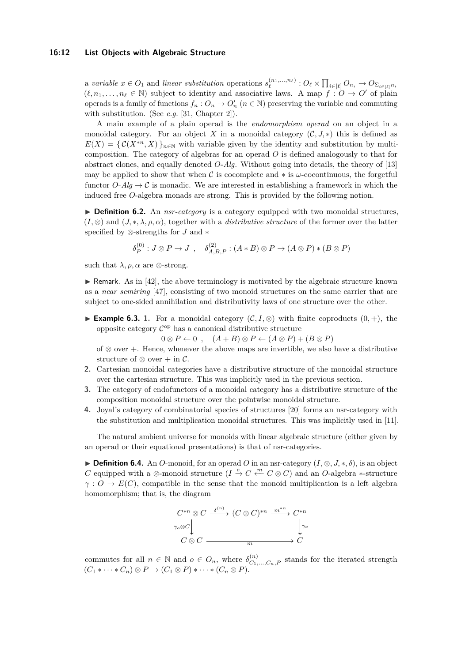#### **16:12 List Objects with Algebraic Structure**

a variable  $x \in O_1$  and linear substitution operations  $s_{\ell}^{(n_1,...,n_{\ell})}$  :  $O_{\ell} \times \prod_{i \in [\ell]} O_{n_i} \to O_{\Sigma_{i \in [\ell]} n_i}$  $(\ell, n_1, \ldots, n_\ell \in \mathbb{N})$  subject to identity and associative laws. A map  $f : O \to O'$  of plain operads is a family of functions  $f_n: O_n \to O'_n$   $(n \in \mathbb{N})$  preserving the variable and commuting with substitution. (See *e.g.* [\[31,](#page-16-19) Chapter 2]).

A main example of a plain operad is the *endomorphism operad* on an object in a monoidal category. For an object X in a monoidal category  $(C, J, *)$  this is defined as  $E(X) = \{ \mathcal{C}(X^{*n}, X) \}_{n \in \mathbb{N}}$  with variable given by the identity and substitution by multicomposition. The category of algebras for an operad *O* is defined analogously to that for abstract clones, and equally denoted *O*-*Alg*. Without going into details, the theory of [\[13\]](#page-15-7) may be applied to show that when C is cocomplete and ∗ is *ω*-cocontinuous, the forgetful functor  $O$ - $Alg \to C$  is monadic. We are interested in establishing a framework in which the induced free *O*-algebra monads are strong. This is provided by the following notion.

<span id="page-11-0"></span>▶ **Definition 6.2.** An *nsr-category* is a category equipped with two monoidal structures,  $(I, \otimes)$  and  $(J, \ast, \lambda, \rho, \alpha)$ , together with a *distributive structure* of the former over the latter specified by ⊗-strengths for *J* and ∗

$$
\delta_P^{(0)}: J \otimes P \to J \; , \quad \delta_{A,B,P}^{(2)}: (A*B) \otimes P \to (A \otimes P) * (B \otimes P)
$$

such that  $\lambda$ ,  $\rho$ ,  $\alpha$  are  $\otimes$ -strong.

 $\triangleright$  Remark. As in [\[42\]](#page-16-20), the above terminology is motivated by the algebraic structure known as a *near semiring* [\[47\]](#page-17-2), consisting of two monoid structures on the same carrier that are subject to one-sided annihilation and distributivity laws of one structure over the other.

**Example 6.3.** 1. For a monoidal category  $(C, I, \otimes)$  with finite coproducts  $(0, +)$ , the opposite category  $\mathcal{C}^{\mathrm{op}}$  has a canonical distributive structure

 $0 \otimes P \leftarrow 0$ ,  $(A + B) \otimes P \leftarrow (A \otimes P) + (B \otimes P)$ 

of ⊗ over +. Hence, whenever the above maps are invertible, we also have a distributive structure of ⊗ over  $+$  in  $\mathcal{C}$ .

- <span id="page-11-2"></span>**2.** Cartesian monoidal categories have a distributive structure of the monoidal structure over the cartesian structure. This was implicitly used in the previous section.
- <span id="page-11-1"></span>**3.** The category of endofunctors of a monoidal category has a distributive structure of the composition monoidal structure over the pointwise monoidal structure.
- **4.** Joyal's category of combinatorial species of structures [\[20\]](#page-15-12) forms an nsr-category with the substitution and multiplication monoidal structures. This was implicitly used in [\[11\]](#page-15-13).

The natural ambient universe for monoids with linear algebraic structure (either given by an operad or their equational presentations) is that of nsr-categories.

**► Definition 6.4.** An *O*-monoid, for an operad *O* in an nsr-category  $(I, \otimes, J, *, \delta)$ , is an object *C* equipped with a ⊗-monoid structure  $(I \stackrel{e}{\to} C \stackrel{m}{\leftarrow} C \otimes C)$  and an *O*-algebra ∗-structure  $\gamma$  :  $O \to E(C)$ , compatible in the sense that the monoid multiplication is a left algebra homomorphism; that is, the diagram

$$
C^{*n} \otimes C \xrightarrow{\delta^{(n)}} (C \otimes C)^{*n} \xrightarrow{m^{*n}} C^{*n}
$$
  

$$
\uparrow
$$
  

$$
C \otimes C \xrightarrow{m} C
$$

commutes for all  $n \in \mathbb{N}$  and  $o \in O_n$ , where  $\delta_{C_1,...,C_n,P}^{(n)}$  stands for the iterated strength  $(C_1 * \cdots * C_n) \otimes P \to (C_1 \otimes P) * \cdots * (C_n \otimes P).$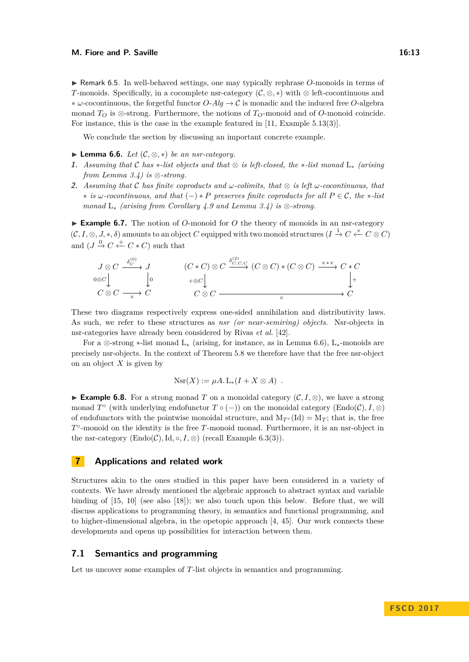<span id="page-12-4"></span>► Remark 6.5. In well-behaved settings, one may typically rephrase *O*-monoids in terms of *T*-monoids. Specifically, in a cocomplete nsr-category (C*,* ⊗*,* ∗) with ⊗ left-cocontinuous and ∗ *ω*-cocontinuous, the forgetful functor *O*-*Alg* → C is monadic and the induced free *O*-algebra monad *T<sup>O</sup>* is ⊗-strong. Furthermore, the notions of *TO*-monoid and of *O*-monoid coincide. For instance, this is the case in the example featured in [\[11,](#page-15-13) Example 5.13(3)].

We conclude the section by discussing an important concrete example.

- <span id="page-12-1"></span>**► Lemma 6.6.** *Let*  $(C, \otimes, *)$  *be an nsr-category.*
- **1.** *Assuming that* C *has* ∗*-list objects and that* ⊗ *is left-closed, the* ∗*-list monad* L<sup>∗</sup> *(arising from Lemma [3.4\)](#page-0-0) is* ⊗*-strong.*
- **2.** *Assuming that* C *has finite coproducts and ω-colimits, that* ⊗ *is left ω-cocontinuous, that* ∗ *is ω-cocontinuous, and that* (−) ∗ *P preserves finite coproducts for all P* ∈ C*, the* ∗*-list monad* L<sup>∗</sup> *(arising from Corollary [4.9](#page-5-0) and Lemma [3.4\)](#page-0-0) is* ⊗*-strong.*

<span id="page-12-3"></span>► Example 6.7. The notion of *O*-monoid for *O* the theory of monoids in an nsr-category  $(C, I, \otimes, J, *, \delta)$  amounts to an object *C* equipped with two monoid structures  $(I \stackrel{1}{\to} C \stackrel{\times}{\leftarrow} C \otimes C)$ and  $(J \stackrel{0}{\rightarrow} C \stackrel{+}{\leftarrow} C * C)$  such that

$$
J \otimes C \xrightarrow{\delta_C^{(0)}} J
$$
  
\n
$$
0 \otimes C \downarrow
$$
  
\n
$$
C \otimes C \longrightarrow C
$$
  
\n
$$
\downarrow 0
$$
  
\n
$$
C \otimes C \longrightarrow C
$$
  
\n
$$
C \otimes C
$$
  
\n
$$
C \otimes C \longrightarrow C
$$
  
\n
$$
C \otimes C \longrightarrow C
$$
  
\n
$$
C \otimes C \longrightarrow C
$$
  
\n
$$
C \otimes C \longrightarrow C
$$
  
\n
$$
C \otimes C \longrightarrow C
$$
  
\n
$$
C \otimes C \longrightarrow C
$$
  
\n
$$
C \otimes C \longrightarrow C
$$

These two diagrams respectively express one-sided annihilation and distributivity laws. As such, we refer to these structures as *nsr (or near-semiring) objects*. Nsr-objects in nsr-categories have already been considered by Rivas *et al.* [\[42\]](#page-16-20).

For a ⊗-strong ∗-list monad  $L_*$  (arising, for instance, as in Lemma [6.6\)](#page-12-1),  $L_*$ -monoids are precisely nsr-objects. In the context of Theorem [5.8](#page-8-1) we therefore have that the free nsr-object on an object *X* is given by

$$
Nsr(X) := \mu A. L_*(I + X \otimes A) .
$$

<span id="page-12-2"></span>**► Example 6.8.** For a strong monad *T* on a monoidal category  $(C, I, \otimes)$ , we have a strong monad  $T^{\circ}$  (with underlying endofunctor  $T \circ (-)$ ) on the monoidal category (Endo(C),  $I$ , ⊗) of endofunctors with the pointwise monoidal structure, and  $M_{T^{\circ}}(Id) = M_T$ ; that is, the free *T* ◦ -monoid on the identity is the free *T*-monoid monad. Furthermore, it is an nsr-object in the nsr-category  $(Endo(\mathcal{C}), Id, \circ, I, \otimes)$  (recall Example [6.3](#page-0-0)[\(3\)](#page-11-1)).

## <span id="page-12-0"></span>**7 Applications and related work**

Structures akin to the ones studied in this paper have been considered in a variety of contexts. We have already mentioned the algebraic approach to abstract syntax and variable binding of [\[15,](#page-15-6) [10\]](#page-15-1) (see also [\[18\]](#page-15-14)); we also touch upon this below. Before that, we will discuss applications to programming theory, in semantics and functional programming, and to higher-dimensional algebra, in the opetopic approach [\[4,](#page-15-15) [45\]](#page-17-3). Our work connects these developments and opens up possibilities for interaction between them.

# **7.1 Semantics and programming**

Let us uncover some examples of *T*-list objects in semantics and programming.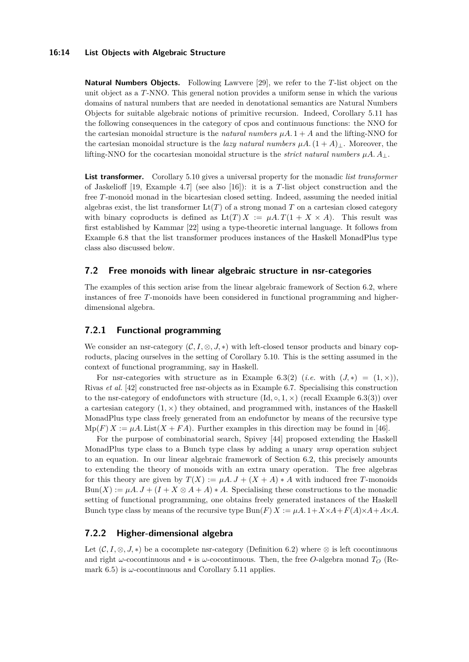#### **16:14 List Objects with Algebraic Structure**

**Natural Numbers Objects.** Following Lawvere [\[29\]](#page-16-3), we refer to the *T*-list object on the unit object as a *T*-NNO. This general notion provides a uniform sense in which the various domains of natural numbers that are needed in denotational semantics are Natural Numbers Objects for suitable algebraic notions of primitive recursion. Indeed, Corollary [5.11](#page-9-1) has the following consequences in the category of cpos and continuous functions: the NNO for the cartesian monoidal structure is the *natural numbers*  $\mu A.1 + A$  and the lifting-NNO for the cartesian monoidal structure is the *lazy natural numbers*  $\mu A$ .  $(1 + A)$ <sub>⊥</sub>. Moreover, the lifting-NNO for the cocartesian monoidal structure is the *strict natural numbers*  $\mu A \cdot A \cdot A$ .

**List transformer.** Corollary [5.10](#page-9-0) gives a universal property for the monadic *list transformer* of Jaskelioff [\[19,](#page-15-16) Example 4.7] (see also [\[16\]](#page-15-17)): it is a *T*-list object construction and the free *T*-monoid monad in the bicartesian closed setting. Indeed, assuming the needed initial algebras exist, the list transformer  $\mathrm{Lt}(T)$  of a strong monad T on a cartesian closed category with binary coproducts is defined as  $\text{Lt}(T) X := \mu A \cdot T(1 + X \times A)$ . This result was first established by Kammar [\[22\]](#page-16-21) using a type-theoretic internal language. It follows from Example [6.8](#page-12-2) that the list transformer produces instances of the Haskell MonadPlus type class also discussed below.

## **7.2 Free monoids with linear algebraic structure in nsr-categories**

The examples of this section arise from the linear algebraic framework of Section [6.2,](#page-10-0) where instances of free *T*-monoids have been considered in functional programming and higherdimensional algebra.

## <span id="page-13-1"></span>**7.2.1 Functional programming**

We consider an nsr-category  $(C, I, \otimes, J, *)$  with left-closed tensor products and binary coproducts, placing ourselves in the setting of Corollary [5.10.](#page-9-0) This is the setting assumed in the context of functional programming, say in Haskell.

For nsr-categories with structure as in Example [6.3\(](#page-0-0)[2\)](#page-11-2) (*i.e.* with  $(J,*) = (1, \times)$ ), Rivas *et al.* [\[42\]](#page-16-20) constructed free nsr-objects as in Example [6.7.](#page-12-3) Specialising this construction to the nsr-category of endofunctors with structure  $(\text{Id}, \circ, 1, \times)$  (recall Example [6.3\(](#page-0-0)[3\)](#page-11-1)) over a cartesian category  $(1, \times)$  they obtained, and programmed with, instances of the Haskell MonadPlus type class freely generated from an endofunctor by means of the recursive type  $Mp(F) X := \mu A$ . List( $X + FA$ ). Further examples in this direction may be found in [\[46\]](#page-17-4).

For the purpose of combinatorial search, Spivey [\[44\]](#page-16-22) proposed extending the Haskell MonadPlus type class to a Bunch type class by adding a unary *wrap* operation subject to an equation. In our linear algebraic framework of Section [6.2,](#page-10-0) this precisely amounts to extending the theory of monoids with an extra unary operation. The free algebras for this theory are given by  $T(X) := \mu A \cdot J + (X + A) * A$  with induced free *T*-monoids  $Bun(X) := \mu A \cdot J + (I + X \otimes A + A) * A$ . Specialising these constructions to the monadic setting of functional programming, one obtains freely generated instances of the Haskell Bunch type class by means of the recursive type  $\text{Bun}(F) X := \mu A \cdot 1 + X \times A + F(A) \times A + A \times A$ .

## <span id="page-13-0"></span>**7.2.2 Higher-dimensional algebra**

Let  $(C, I, \otimes, J, *)$  be a cocomplete nsr-category (Definition [6.2\)](#page-11-0) where  $\otimes$  is left cocontinuous and right *ω*-cocontinuous and ∗ is *ω*-cocontinuous. Then, the free *O*-algebra monad *T<sup>O</sup>* (Re-mark [6.5\)](#page-12-4) is  $\omega$ -cocontinuous and Corollary [5.11](#page-9-1) applies.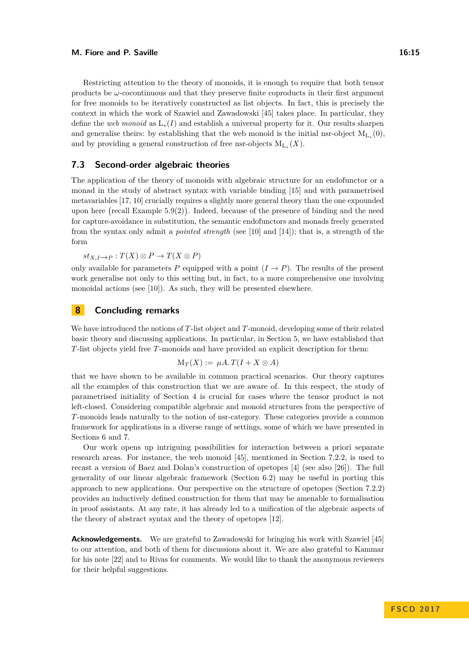#### **M. Fiore and P. Saville 16:15**

Restricting attention to the theory of monoids, it is enough to require that both tensor products be  $\omega$ -cocontinuous and that they preserve finite coproducts in their first argument for free monoids to be iteratively constructed as list objects. In fact, this is precisely the context in which the work of Szawiel and Zawadowski [\[45\]](#page-17-3) takes place. In particular, they define the *web monoid* as L∗(*I*) and establish a universal property for it. Our results sharpen and generalise theirs: by establishing that the web monoid is the initial nsr-object  $M_{L_*}(0)$ , and by providing a general construction of free nsr-objects  $M_{L_*}(X)$ .

## <span id="page-14-1"></span>**7.3 Second-order algebraic theories**

The application of the theory of monoids with algebraic structure for an endofunctor or a monad in the study of abstract syntax with variable binding [\[15\]](#page-15-6) and with parametrised metavariables [\[17,](#page-15-9) [10\]](#page-15-1) crucially requires a slightly more general theory than the one expounded upon here (recall Example  $5.9(2)$  $5.9(2)$ ). Indeed, because of the presence of binding and the need for capture-avoidance in substitution, the semantic endofunctors and monads freely generated from the syntax only admit a *pointed strength* (see [\[10\]](#page-15-1) and [\[14\]](#page-15-18)); that is, a strength of the form

 $st_{X,I\rightarrow P}$  :  $T(X) \otimes P$  →  $T(X \otimes P)$ 

only available for parameters *P* equipped with a point  $(I \rightarrow P)$ . The results of the present work generalise not only to this setting but, in fact, to a more comprehensive one involving monoidal actions (see [\[10\]](#page-15-1)). As such, they will be presented elsewhere.

# <span id="page-14-0"></span>**8 Concluding remarks**

We have introduced the notions of *T*-list object and *T*-monoid, developing some of their related basic theory and discussing applications. In particular, in Section [5,](#page-6-1) we have established that *T*-list objects yield free *T*-monoids and have provided an explicit description for them:

$$
\mathrm{M}_T(X):=\mu A.\,T(I+X\otimes A)
$$

that we have shown to be available in common practical scenarios. Our theory captures all the examples of this construction that we are aware of. In this respect, the study of parametrised initiality of Section [4](#page-4-1) is crucial for cases where the tensor product is not left-closed. Considering compatible algebraic and monoid structures from the perspective of *T*-monoids leads naturally to the notion of nsr-category. These categories provide a common framework for applications in a diverse range of settings, some of which we have presented in Sections [6](#page-9-2) and [7.](#page-12-0)

Our work opens up intriguing possibilities for interaction between a priori separate research areas. For instance, the web monoid [\[45\]](#page-17-3), mentioned in Section [7.2.2,](#page-13-0) is used to recast a version of Baez and Dolan's construction of opetopes [\[4\]](#page-15-15) (see also [\[26\]](#page-16-23)). The full generality of our linear algebraic framework (Section [6.2\)](#page-10-0) may be useful in porting this approach to new applications. Our perspective on the structure of opetopes (Section [7.2.2\)](#page-13-0) provides an inductively defined construction for them that may be amenable to formalisation in proof assistants. At any rate, it has already led to a unification of the algebraic aspects of the theory of abstract syntax and the theory of opetopes [\[12\]](#page-15-19).

**Acknowledgements.** We are grateful to Zawadowski for bringing his work with Szawiel [\[45\]](#page-17-3) to our attention, and both of them for discussions about it. We are also grateful to Kammar for his note [\[22\]](#page-16-21) and to Rivas for comments. We would like to thank the anonymous reviewers for their helpful suggestions.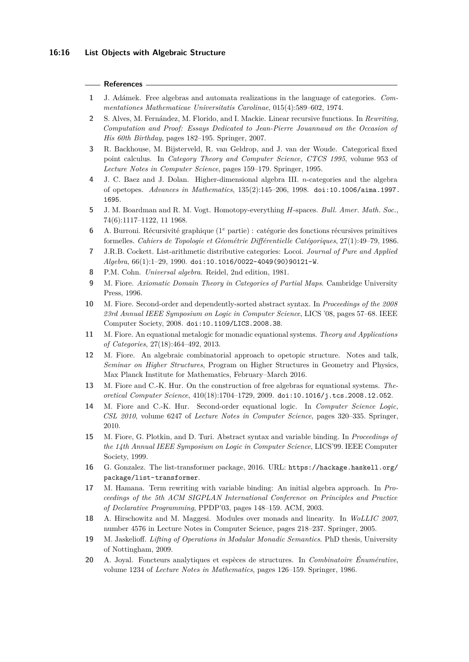#### **References**

- <span id="page-15-4"></span>**1** J. Adámek. Free algebras and automata realizations in the language of categories. *Commentationes Mathematicae Universitatis Carolinae*, 015(4):589–602, 1974.
- <span id="page-15-3"></span>**2** S. Alves, M. Fernández, M. Florido, and I. Mackie. Linear recursive functions. In *Rewriting, Computation and Proof: Essays Dedicated to Jean-Pierre Jouannaud on the Occasion of His 60th Birthday*, pages 182–195. Springer, 2007.
- <span id="page-15-8"></span>**3** R. Backhouse, M. Bijsterveld, R. van Geldrop, and J. van der Woude. Categorical fixed point calculus. In *Category Theory and Computer Science, CTCS 1995*, volume 953 of *Lecture Notes in Computer Science*, pages 159–179. Springer, 1995.
- <span id="page-15-15"></span>**4** J. C. Baez and J. Dolan. Higher-dimensional algebra III. *n*-categories and the algebra of opetopes. *Advances in Mathematics*, 135(2):145–206, 1998. [doi:10.1006/aima.1997.](http://dx.doi.org/10.1006/aima.1997.1695) [1695](http://dx.doi.org/10.1006/aima.1997.1695).
- <span id="page-15-11"></span>**5** J. M. Boardman and R. M. Vogt. Homotopy-everything *H*-spaces. *Bull. Amer. Math. Soc.*, 74(6):1117–1122, 11 1968.
- <span id="page-15-0"></span>**6** A. Burroni. Récursivité graphique (1 *<sup>e</sup>* partie) : catégorie des fonctions récursives primitives formelles. *Cahiers de Topologie et Géométrie Différentielle Catégoriques*, 27(1):49–79, 1986.
- <span id="page-15-2"></span>**7** J.R.B. Cockett. List-arithmetic distributive categories: Locoi. *Journal of Pure and Applied Algebra*, 66(1):1–29, 1990. [doi:10.1016/0022-4049\(90\)90121-W](http://dx.doi.org/10.1016/0022-4049(90)90121-W).
- <span id="page-15-10"></span>**8** P.M. Cohn. *Universal algebra*. Reidel, 2nd edition, 1981.
- <span id="page-15-5"></span>**9** M. Fiore. *Axiomatic Domain Theory in Categories of Partial Maps*. Cambridge University Press, 1996.
- <span id="page-15-1"></span>**10** M. Fiore. Second-order and dependently-sorted abstract syntax. In *Proceedings of the 2008 23rd Annual IEEE Symposium on Logic in Computer Science*, LICS '08, pages 57–68. IEEE Computer Society, 2008. [doi:10.1109/LICS.2008.38](http://dx.doi.org/10.1109/LICS.2008.38).
- <span id="page-15-13"></span>**11** M. Fiore. An equational metalogic for monadic equational systems. *Theory and Applications of Categories*, 27(18):464–492, 2013.
- <span id="page-15-19"></span>**12** M. Fiore. An algebraic combinatorial approach to opetopic structure. Notes and [talk,](https://www.mpim-bonn.mpg.de/node/6586) *Seminar on Higher Structures*, Program on Higher Structures in Geometry and Physics, Max Planck Institute for Mathematics, February–March 2016.
- <span id="page-15-7"></span>**13** M. Fiore and C.-K. Hur. On the construction of free algebras for equational systems. *Theoretical Computer Science*, 410(18):1704–1729, 2009. [doi:10.1016/j.tcs.2008.12.052](http://dx.doi.org/10.1016/j.tcs.2008.12.052).
- <span id="page-15-18"></span>**14** M. Fiore and C.-K. Hur. Second-order equational logic. In *Computer Science Logic, CSL 2010*, volume 6247 of *Lecture Notes in Computer Science*, pages 320–335. Springer, 2010.
- <span id="page-15-6"></span>**15** M. Fiore, G. Plotkin, and D. Turi. Abstract syntax and variable binding. In *Proceedings of the 14th Annual IEEE Symposium on Logic in Computer Science*, LICS'99. IEEE Computer Society, 1999.
- <span id="page-15-17"></span>**16** G. Gonzalez. The list-transformer package, 2016. URL: [https://hackage.haskell.org/](https://hackage.haskell.org/package/list-transformer) [package/list-transformer](https://hackage.haskell.org/package/list-transformer).
- <span id="page-15-9"></span>**17** M. Hamana. Term rewriting with variable binding: An initial algebra approach. In *Proceedings of the 5th ACM SIGPLAN International Conference on Principles and Practice of Declarative Programming*, PPDP'03, pages 148–159. ACM, 2003.
- <span id="page-15-14"></span>**18** A. Hirschowitz and M. Maggesi. Modules over monads and linearity. In *WoLLIC 2007*, number 4576 in Lecture Notes in Computer Science, pages 218–237. Springer, 2005.
- <span id="page-15-16"></span>**19** M. Jaskelioff. *Lifting of Operations in Modular Monadic Semantics*. PhD thesis, University of Nottingham, 2009.
- <span id="page-15-12"></span>**20** A. Joyal. Foncteurs analytiques et espèces de structures. In *Combinatoire Énumérative*, volume 1234 of *Lecture Notes in Mathematics*, pages 126–159. Springer, 1986.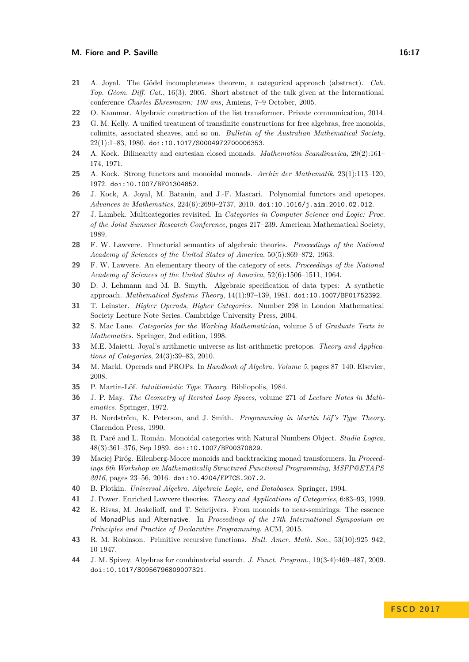- <span id="page-16-4"></span>**21** A. Joyal. The Gödel incompleteness theorem, a categorical approach (abstract). *Cah. Top. Géom. Diff. Cat.*, 16(3), 2005. Short abstract of the talk given at the International conference *Charles Ehresmann: 100 ans*, Amiens, 7–9 October, 2005.
- <span id="page-16-21"></span>**22** O. Kammar. Algebraic construction of the list transformer. Private communication, 2014.
- <span id="page-16-11"></span>**23** G. M. Kelly. A unified treatment of transfinite constructions for free algebras, free monoids, colimits, associated sheaves, and so on. *Bulletin of the Australian Mathematical Society*, 22(1):1–83, 1980. [doi:10.1017/S0004972700006353](http://dx.doi.org/10.1017/S0004972700006353).
- <span id="page-16-10"></span>**24** A. Kock. Bilinearity and cartesian closed monads. *Mathematica Scandinavica*, 29(2):161– 174, 1971.
- <span id="page-16-8"></span>**25** A. Kock. Strong functors and monoidal monads. *Archiv der Mathematik*, 23(1):113–120, 1972. [doi:10.1007/BF01304852](http://dx.doi.org/10.1007/BF01304852).
- <span id="page-16-23"></span>**26** J. Kock, A. Joyal, M. Batanin, and J.-F. Mascari. Polynomial functors and opetopes. *Advances in Mathematics*, 224(6):2690–2737, 2010. [doi:10.1016/j.aim.2010.02.012](http://dx.doi.org/10.1016/j.aim.2010.02.012).
- <span id="page-16-17"></span>**27** J. Lambek. Multicategories revisited. In *Categories in Computer Science and Logic: Proc. of the Joint Summer Research Conference*, pages 217–239. American Mathematical Society, 1989.
- <span id="page-16-14"></span>**28** F. W. Lawvere. Functorial semantics of algebraic theories. *Proceedings of the National Academy of Sciences of the United States of America*, 50(5):869–872, 1963.
- <span id="page-16-3"></span>**29** F. W. Lawvere. An elementary theory of the category of sets. *Proceedings of the National Academy of Sciences of the United States of America*, 52(6):1506–1511, 1964.
- <span id="page-16-12"></span>**30** D. J. Lehmann and M. B. Smyth. Algebraic specification of data types: A synthetic approach. *Mathematical Systems Theory*, 14(1):97–139, 1981. [doi:10.1007/BF01752392](http://dx.doi.org/10.1007/BF01752392).
- <span id="page-16-19"></span>**31** T. Leinster. *Higher Operads, Higher Categories*. Number 298 in London Mathematical Society Lecture Note Series. Cambridge University Press, 2004.
- <span id="page-16-9"></span>**32** S. Mac Lane. *Categories for the Working Mathematician*, volume 5 of *Graduate Texts in Mathematics*. Springer, 2nd edition, 1998.
- <span id="page-16-5"></span>**33** M.E. Maietti. Joyal's arithmetic universe as list-arithmetic pretopos. *Theory and Applications of Categories*, 24(3):39–83, 2010.
- <span id="page-16-18"></span>**34** M. Markl. Operads and PROPs. In *Handbook of Algebra, Volume 5*, pages 87–140. Elsevier, 2008.
- <span id="page-16-0"></span>**35** P. Martin-Löf. *Intuitionistic Type Theory*. Bibliopolis, 1984.
- <span id="page-16-16"></span>**36** J. P. May. *The Geometry of Iterated Loop Spaces*, volume 271 of *Lecture Notes in Mathematics*. Springer, 1972.
- <span id="page-16-1"></span>**37** B. Nordström, K. Peterson, and J. Smith. *Programming in Martin Löf's Type Theory*. Clarendon Press, 1990.
- <span id="page-16-6"></span>**38** R. Paré and L. Román. Monoidal categories with Natural Numbers Object. *Studia Logica*, 48(3):361–376, Sep 1989. [doi:10.1007/BF00370829](http://dx.doi.org/10.1007/BF00370829).
- <span id="page-16-7"></span>**39** Maciej Piróg. Eilenberg-Moore monoids and backtracking monad transformers. In *Proceedings 6th Workshop on Mathematically Structured Functional Programming, MSFP@ETAPS 2016*, pages 23–56, 2016. [doi:10.4204/EPTCS.207.2](http://dx.doi.org/10.4204/EPTCS.207.2).
- <span id="page-16-15"></span>**40** B. Plotkin. *Universal Algebra, Algebraic Logic, and Databases*. Springer, 1994.
- <span id="page-16-13"></span>**41** J. Power. Enriched Lawvere theories. *Theory and Applications of Categories*, 6:83–93, 1999.
- <span id="page-16-20"></span>**42** E. Rivas, M. Jaskelioff, and T. Schrijvers. From monoids to near-semirings: The essence of MonadPlus and Alternative. In *Proceedings of the 17th International Symposium on Principles and Practice of Declarative Programming*. ACM, 2015.
- <span id="page-16-2"></span>**43** R. M. Robinson. Primitive recursive functions. *Bull. Amer. Math. Soc.*, 53(10):925–942, 10 1947.
- <span id="page-16-22"></span>**44** J. M. Spivey. Algebras for combinatorial search. *J. Funct. Program.*, 19(3-4):469–487, 2009. [doi:10.1017/S0956796809007321](http://dx.doi.org/10.1017/S0956796809007321).